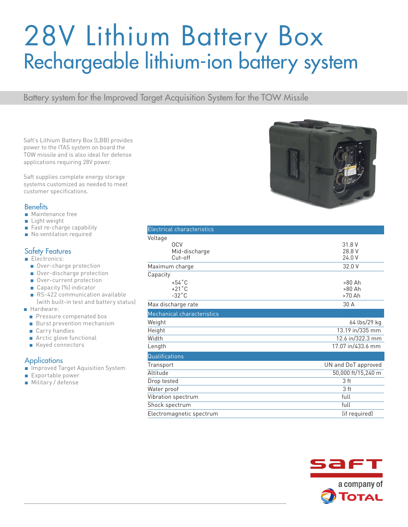# 28V Lithium Battery Box Rechargeable lithium-ion battery system

Battery system for the Improved Target Acquisition System for the TOW Missile

Saft's Lithium Battery Box (LBB) provides power to the ITAS system on board the TOW missile and is also ideal for defense applications requiring 28V power.

Saft supplies complete energy storage systems customized as needed to meet customer specifications.

### **Benefits**

- Maintenance free
- Light weight
- Fast re-charge capability
- No ventilation required

### Safety Features

- Electronics:
	- Over-charge protection
	- Over-discharge protection
	- Over-current protection
	- Capacity (%) indicator
	- RS-422 communication available (with built-in test and battery status)
- Hardware:
	- Pressure compenated box
	- Burst prevention mechanism
	- Carry handles
	- Arctic glove functional
	- Keyed connectors

#### **Applications**

- Improved Target Aquisition System
- Exportable power
- Military / defense

| <b>Electrical characteristics</b>                     |                              |
|-------------------------------------------------------|------------------------------|
| Voltage<br><b>OCV</b><br>Mid-discharge<br>Cut-off     | 31.8 V<br>28.8 V<br>24.0 V   |
| Maximum charge                                        | 32.0 V                       |
| Capacity                                              |                              |
| $+54^{\circ}$ C<br>$+21^{\circ}$ C<br>$-32^{\circ}$ C | >80 Ah<br>$>80$ Ah<br>>70 Ah |
| Max discharge rate                                    | 30 A                         |
| Mechanical characteristics                            |                              |
| Weight                                                | 64 lbs/29 kg                 |
| Height                                                | 13.19 in/335 mm              |
| Width                                                 | 12.6 in/322.3 mm             |
| Length                                                | 17.07 in/433.6 mm            |
| Qualifications                                        |                              |
| Transport                                             | UN and DoT approved          |
| Altitude                                              | 50,000 ft/15,240 m           |
| Drop tested                                           | 3 ft                         |
| Water proof                                           | 3 ft                         |
| Vibration spectrum                                    | full                         |
| Shock spectrum                                        | full                         |
| Electromagnetic spectrum                              | (if required)                |